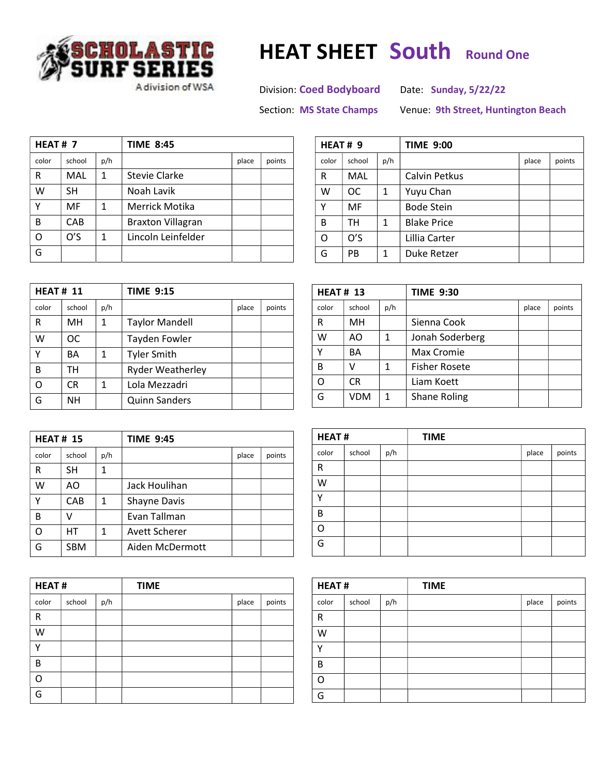

## CHOLASTIC HEAT SHEET South Round One

A division of WSA Division: Coed Bodyboard Date: Sunday, 5/22/22

Section: MS State Champs Venue: 9th Street, Huntington Beach

| HEAT#7 |           |     | <b>TIME 8:45</b>         |       |        |
|--------|-----------|-----|--------------------------|-------|--------|
| color  | school    | p/h |                          | place | points |
| R      | MAL       | 1   | Stevie Clarke            |       |        |
| W      | <b>SH</b> |     | Noah Lavik               |       |        |
| γ      | MF        | 1   | Merrick Motika           |       |        |
| B      | CAB       |     | <b>Braxton Villagran</b> |       |        |
| റ      | O'S       | 1   | Lincoln Leinfelder       |       |        |
| G      |           |     |                          |       |        |

| HEAT# 9 |        |     | <b>TIME 9:00</b>   |       |        |  |
|---------|--------|-----|--------------------|-------|--------|--|
| color   | school | p/h |                    | place | points |  |
| R       | MAL    |     | Calvin Petkus      |       |        |  |
| W       | OC     | 1   | Yuyu Chan          |       |        |  |
| Υ       | MF     |     | <b>Bode Stein</b>  |       |        |  |
| B       | тн     | 1   | <b>Blake Price</b> |       |        |  |
| Ω       | O'S    |     | Lillia Carter      |       |        |  |
| G       | PB     | 1   | Duke Retzer        |       |        |  |

| <b>HEAT# 11</b> |           |     | <b>TIME 9:15</b>        |       |        |
|-----------------|-----------|-----|-------------------------|-------|--------|
| color           | school    | p/h |                         | place | points |
| R               | MН        | 1   | <b>Taylor Mandell</b>   |       |        |
| w               | ОC        |     | Tayden Fowler           |       |        |
| Υ               | BA        | 1   | <b>Tyler Smith</b>      |       |        |
| B               | тн        |     | <b>Ryder Weatherley</b> |       |        |
| റ               | CR        | 1   | Lola Mezzadri           |       |        |
| G               | <b>NH</b> |     | <b>Quinn Sanders</b>    |       |        |

| <b>HEAT# 15</b> |            |     | <b>TIME 9:45</b>     |       |        |
|-----------------|------------|-----|----------------------|-------|--------|
| color           | school     | p/h |                      | place | points |
| R               | SН         | 1   |                      |       |        |
| W               | AΟ         |     | Jack Houlihan        |       |        |
| Υ               | CAB        | 1   | <b>Shayne Davis</b>  |       |        |
| B               | v          |     | Evan Tallman         |       |        |
| റ               | НT         | 1   | <b>Avett Scherer</b> |       |        |
|                 | <b>SBM</b> |     | Aiden McDermott      |       |        |

| <b>HEAT#</b> |        |     | <b>TIME</b> |       |        |
|--------------|--------|-----|-------------|-------|--------|
| color        | school | p/h |             | place | points |
| R            |        |     |             |       |        |
| W            |        |     |             |       |        |
| ν            |        |     |             |       |        |
| B            |        |     |             |       |        |
| റ            |        |     |             |       |        |
| G            |        |     |             |       |        |

| <b>HEAT# 13</b> |            |              | <b>TIME 9:30</b>     |       |        |
|-----------------|------------|--------------|----------------------|-------|--------|
| color           | school     | p/h          |                      | place | points |
| R               | MH         |              | Sienna Cook          |       |        |
| W               | AΟ         | 1            | Jonah Soderberg      |       |        |
| γ               | BА         |              | Max Cromie           |       |        |
| B               | V          | 1            | <b>Fisher Rosete</b> |       |        |
| Ω               | CR         |              | Liam Koett           |       |        |
| G               | <b>VDM</b> | $\mathbf{1}$ | <b>Shane Roling</b>  |       |        |

| <b>HEAT#</b> |        |     | <b>TIME</b> |       |        |
|--------------|--------|-----|-------------|-------|--------|
| color        | school | p/h |             | place | points |
| R            |        |     |             |       |        |
| W            |        |     |             |       |        |
| v            |        |     |             |       |        |
| B            |        |     |             |       |        |
| റ            |        |     |             |       |        |
| G            |        |     |             |       |        |

| <b>HEAT#</b> |        |     | <b>TIME</b> |       |        |
|--------------|--------|-----|-------------|-------|--------|
| color        | school | p/h |             | place | points |
| $\mathsf R$  |        |     |             |       |        |
| W            |        |     |             |       |        |
| v            |        |     |             |       |        |
| B            |        |     |             |       |        |
| ∩            |        |     |             |       |        |
| G            |        |     |             |       |        |